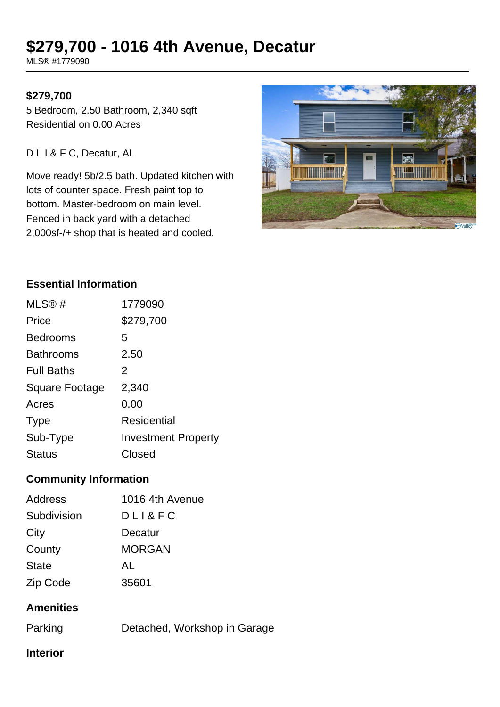# **\$279,700 - 1016 4th Avenue, Decatur**

MLS® #1779090

## **\$279,700**

5 Bedroom, 2.50 Bathroom, 2,340 sqft Residential on 0.00 Acres

D L I & F C, Decatur, AL

Move ready! 5b/2.5 bath. Updated kitchen with lots of counter space. Fresh paint top to bottom. Master-bedroom on main level. Fenced in back yard with a detached 2,000sf-/+ shop that is heated and cooled.



## **Essential Information**

| MLS@#                 | 1779090                    |
|-----------------------|----------------------------|
| Price                 | \$279,700                  |
| <b>Bedrooms</b>       | 5                          |
| <b>Bathrooms</b>      | 2.50                       |
| <b>Full Baths</b>     | 2                          |
| <b>Square Footage</b> | 2,340                      |
| Acres                 | 0.00                       |
| <b>Type</b>           | Residential                |
| Sub-Type              | <b>Investment Property</b> |
| <b>Status</b>         | Closed                     |

## **Community Information**

| 1016 4th Avenue |
|-----------------|
| $DLL$ & FC      |
| Decatur         |
| <b>MORGAN</b>   |
| AL              |
| 35601           |
|                 |

# **Amenities**

| Parking | Detached, Workshop in Garage |  |
|---------|------------------------------|--|
|         |                              |  |

## **Interior**